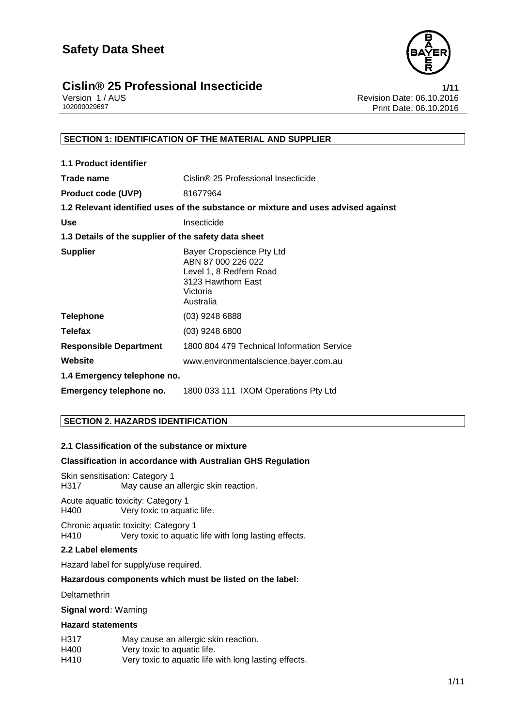



# **Cislin® 25 Professional Insecticide**<br>1/11 Version 1/AUS<br>Revision Date: 06.10.2016

Version 1 / AUS الكاتر المستخدم المستخدم المستخدم المستخدم المستخدم المستخدم المستخدم المستخدم المستخدم المستخ<br>Print Date: 06.10.2016 Print Date: 06.10.2016

# **SECTION 1: IDENTIFICATION OF THE MATERIAL AND SUPPLIER**

| <b>1.1 Product identifier</b>                        |                                                                                                                           |  |  |
|------------------------------------------------------|---------------------------------------------------------------------------------------------------------------------------|--|--|
| Trade name                                           | Cislin® 25 Professional Insecticide                                                                                       |  |  |
| <b>Product code (UVP)</b>                            | 81677964                                                                                                                  |  |  |
|                                                      | 1.2 Relevant identified uses of the substance or mixture and uses advised against                                         |  |  |
| <b>Use</b>                                           | Insecticide                                                                                                               |  |  |
| 1.3 Details of the supplier of the safety data sheet |                                                                                                                           |  |  |
| <b>Supplier</b>                                      | Bayer Cropscience Pty Ltd<br>ABN 87 000 226 022<br>Level 1, 8 Redfern Road<br>3123 Hawthorn East<br>Victoria<br>Australia |  |  |
| <b>Telephone</b>                                     | $(03)$ 9248 6888                                                                                                          |  |  |
| <b>Telefax</b>                                       | $(03)$ 9248 6800                                                                                                          |  |  |
| <b>Responsible Department</b>                        | 1800 804 479 Technical Information Service                                                                                |  |  |
| Website                                              | www.environmentalscience.bayer.com.au                                                                                     |  |  |
| 1.4 Emergency telephone no.                          |                                                                                                                           |  |  |
| Emergency telephone no.                              | 1800 033 111 IXOM Operations Pty Ltd                                                                                      |  |  |

# **SECTION 2. HAZARDS IDENTIFICATION**

# **2.1 Classification of the substance or mixture**

# **Classification in accordance with Australian GHS Regulation**

Skin sensitisation: Category 1<br>H317 May cause an May cause an allergic skin reaction.

Acute aquatic toxicity: Category 1 H400 Very toxic to aquatic life.

Chronic aquatic toxicity: Category 1 H410 Very toxic to aquatic life with long lasting effects.

### **2.2 Label elements**

Hazard label for supply/use required.

# **Hazardous components which must be listed on the label:**

Deltamethrin

**Signal word:** Warning

#### **Hazard statements**

| H317 | May cause an allergic skin reaction.                  |
|------|-------------------------------------------------------|
| H400 | Very toxic to aquatic life.                           |
| H410 | Very toxic to aquatic life with long lasting effects. |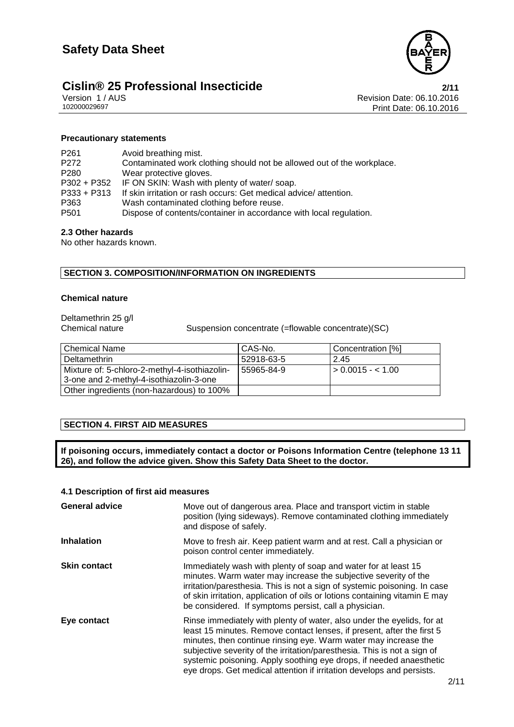

# **Cislin® 25 Professional Insecticide**<br>
Version 1/AUS **2/11**<br>
Revision Date: 06.10.2016

Version 1 / AUS<br>
102000029697<br>
Print Date: 06.10.2016 Print Date: 06.10.2016

### **Precautionary statements**

| P <sub>261</sub> | Avoid breathing mist.                                                  |
|------------------|------------------------------------------------------------------------|
| P <sub>272</sub> | Contaminated work clothing should not be allowed out of the workplace. |
| P <sub>280</sub> | Wear protective gloves.                                                |
|                  | P302 + P352 IF ON SKIN: Wash with plenty of water/soap.                |
| $P333 + P313$    | If skin irritation or rash occurs: Get medical advice/attention.       |
| P363             | Wash contaminated clothing before reuse.                               |
| P <sub>501</sub> | Dispose of contents/container in accordance with local regulation.     |
|                  |                                                                        |

# **2.3 Other hazards**

No other hazards known.

# **SECTION 3. COMPOSITION/INFORMATION ON INGREDIENTS**

## **Chemical nature**

Deltamethrin 25 g/l

Chemical nature Suspension concentrate (=flowable concentrate)(SC)

| l Chemical Name                               | CAS-No.    | Concentration [%] |
|-----------------------------------------------|------------|-------------------|
| Deltamethrin                                  | 52918-63-5 | 2.45              |
| Mixture of: 5-chloro-2-methyl-4-isothiazolin- | 55965-84-9 | $> 0.0015 - 1.00$ |
| 3-one and 2-methyl-4-isothiazolin-3-one       |            |                   |
| Other ingredients (non-hazardous) to 100%     |            |                   |

# **SECTION 4. FIRST AID MEASURES**

**If poisoning occurs, immediately contact a doctor or Poisons Information Centre (telephone 13 11 26), and follow the advice given. Show this Safety Data Sheet to the doctor.**

### **4.1 Description of first aid measures**

| <b>General advice</b> | Move out of dangerous area. Place and transport victim in stable<br>position (lying sideways). Remove contaminated clothing immediately<br>and dispose of safely.                                                                                                                                                                                                                                                                               |
|-----------------------|-------------------------------------------------------------------------------------------------------------------------------------------------------------------------------------------------------------------------------------------------------------------------------------------------------------------------------------------------------------------------------------------------------------------------------------------------|
| <b>Inhalation</b>     | Move to fresh air. Keep patient warm and at rest. Call a physician or<br>poison control center immediately.                                                                                                                                                                                                                                                                                                                                     |
| <b>Skin contact</b>   | Immediately wash with plenty of soap and water for at least 15<br>minutes. Warm water may increase the subjective severity of the<br>irritation/paresthesia. This is not a sign of systemic poisoning. In case<br>of skin irritation, application of oils or lotions containing vitamin E may<br>be considered. If symptoms persist, call a physician.                                                                                          |
| Eye contact           | Rinse immediately with plenty of water, also under the eyelids, for at<br>least 15 minutes. Remove contact lenses, if present, after the first 5<br>minutes, then continue rinsing eye. Warm water may increase the<br>subjective severity of the irritation/paresthesia. This is not a sign of<br>systemic poisoning. Apply soothing eye drops, if needed anaesthetic<br>eye drops. Get medical attention if irritation develops and persists. |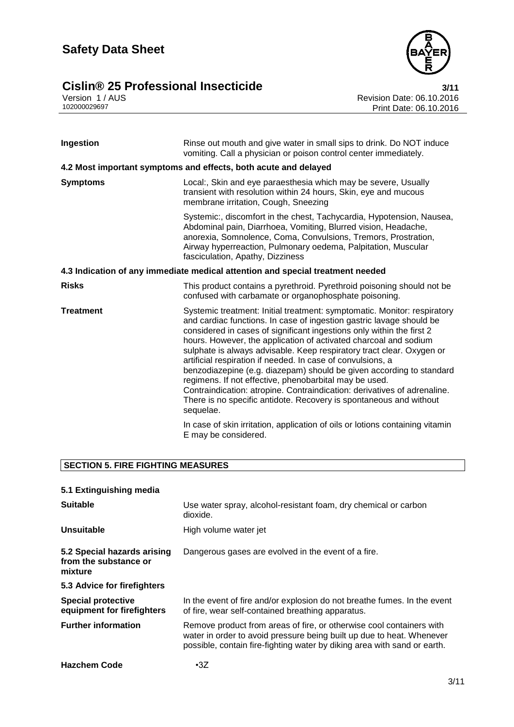# **Cislin® 25 Professional Insecticide**<br>Version 1/AUS<br>102000029697<br>Print Date: 06.10.2016





Revision Date: 06.10.2016 Print Date: 06.10.2016

| Ingestion                                                                      | Rinse out mouth and give water in small sips to drink. Do NOT induce<br>vomiting. Call a physician or poison control center immediately.                                                                                                                                                                                                                                                                                                                                                                                                                                                                                                                                                                                               |  |  |
|--------------------------------------------------------------------------------|----------------------------------------------------------------------------------------------------------------------------------------------------------------------------------------------------------------------------------------------------------------------------------------------------------------------------------------------------------------------------------------------------------------------------------------------------------------------------------------------------------------------------------------------------------------------------------------------------------------------------------------------------------------------------------------------------------------------------------------|--|--|
|                                                                                | 4.2 Most important symptoms and effects, both acute and delayed                                                                                                                                                                                                                                                                                                                                                                                                                                                                                                                                                                                                                                                                        |  |  |
| <b>Symptoms</b>                                                                | Local:, Skin and eye paraesthesia which may be severe, Usually<br>transient with resolution within 24 hours, Skin, eye and mucous<br>membrane irritation, Cough, Sneezing                                                                                                                                                                                                                                                                                                                                                                                                                                                                                                                                                              |  |  |
|                                                                                | Systemic:, discomfort in the chest, Tachycardia, Hypotension, Nausea,<br>Abdominal pain, Diarrhoea, Vomiting, Blurred vision, Headache,<br>anorexia, Somnolence, Coma, Convulsions, Tremors, Prostration,<br>Airway hyperreaction, Pulmonary oedema, Palpitation, Muscular<br>fasciculation, Apathy, Dizziness                                                                                                                                                                                                                                                                                                                                                                                                                         |  |  |
| 4.3 Indication of any immediate medical attention and special treatment needed |                                                                                                                                                                                                                                                                                                                                                                                                                                                                                                                                                                                                                                                                                                                                        |  |  |
| <b>Risks</b>                                                                   | This product contains a pyrethroid. Pyrethroid poisoning should not be<br>confused with carbamate or organophosphate poisoning.                                                                                                                                                                                                                                                                                                                                                                                                                                                                                                                                                                                                        |  |  |
| <b>Treatment</b>                                                               | Systemic treatment: Initial treatment: symptomatic. Monitor: respiratory<br>and cardiac functions. In case of ingestion gastric lavage should be<br>considered in cases of significant ingestions only within the first 2<br>hours. However, the application of activated charcoal and sodium<br>sulphate is always advisable. Keep respiratory tract clear. Oxygen or<br>artificial respiration if needed. In case of convulsions, a<br>benzodiazepine (e.g. diazepam) should be given according to standard<br>regimens. If not effective, phenobarbital may be used.<br>Contraindication: atropine. Contraindication: derivatives of adrenaline.<br>There is no specific antidote. Recovery is spontaneous and without<br>sequelae. |  |  |
|                                                                                | In case of skin irritation, application of oils or lotions containing vitamin<br>E may be considered.                                                                                                                                                                                                                                                                                                                                                                                                                                                                                                                                                                                                                                  |  |  |

# **SECTION 5. FIRE FIGHTING MEASURES**

| 5.1 Extinguishing media                                         |                                                                                                                                                                                                                           |
|-----------------------------------------------------------------|---------------------------------------------------------------------------------------------------------------------------------------------------------------------------------------------------------------------------|
| <b>Suitable</b>                                                 | Use water spray, alcohol-resistant foam, dry chemical or carbon<br>dioxide.                                                                                                                                               |
| Unsuitable                                                      | High volume water jet                                                                                                                                                                                                     |
| 5.2 Special hazards arising<br>from the substance or<br>mixture | Dangerous gases are evolved in the event of a fire.                                                                                                                                                                       |
| 5.3 Advice for firefighters                                     |                                                                                                                                                                                                                           |
| <b>Special protective</b><br>equipment for firefighters         | In the event of fire and/or explosion do not breathe fumes. In the event<br>of fire, wear self-contained breathing apparatus.                                                                                             |
| <b>Further information</b>                                      | Remove product from areas of fire, or otherwise cool containers with<br>water in order to avoid pressure being built up due to heat. Whenever<br>possible, contain fire-fighting water by diking area with sand or earth. |
| <b>Hazchem Code</b>                                             | $\cdot 3Z$                                                                                                                                                                                                                |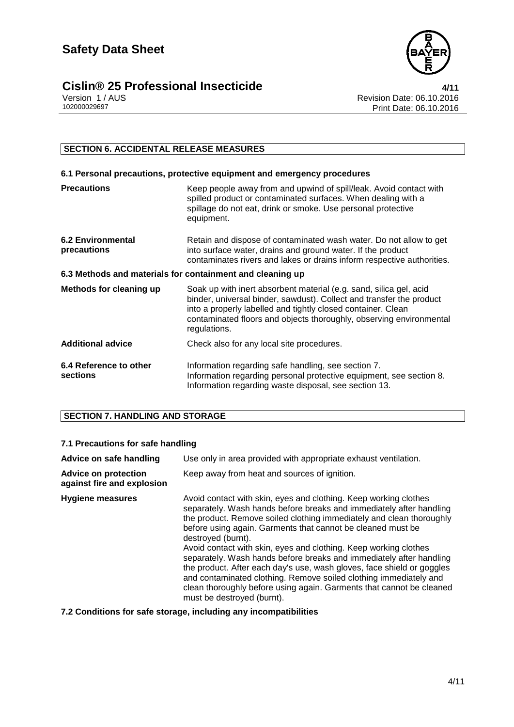

# **Cislin® 25 Professional Insecticide**<br>Version 1/AUS<br>102000029697 Print Date: 06.10.2016

Revision Date: 06.10.2016 Print Date: 06.10.2016

# **SECTION 6. ACCIDENTAL RELEASE MEASURES**

| 6.1 Personal precautions, protective equipment and emergency procedures |                                                                                                                                                                                                                                                                                                   |  |  |
|-------------------------------------------------------------------------|---------------------------------------------------------------------------------------------------------------------------------------------------------------------------------------------------------------------------------------------------------------------------------------------------|--|--|
| <b>Precautions</b>                                                      | Keep people away from and upwind of spill/leak. Avoid contact with<br>spilled product or contaminated surfaces. When dealing with a<br>spillage do not eat, drink or smoke. Use personal protective<br>equipment.                                                                                 |  |  |
| <b>6.2 Environmental</b><br>precautions                                 | Retain and dispose of contaminated wash water. Do not allow to get<br>into surface water, drains and ground water. If the product<br>contaminates rivers and lakes or drains inform respective authorities.                                                                                       |  |  |
| 6.3 Methods and materials for containment and cleaning up               |                                                                                                                                                                                                                                                                                                   |  |  |
| <b>Methods for cleaning up</b>                                          | Soak up with inert absorbent material (e.g. sand, silica gel, acid<br>binder, universal binder, sawdust). Collect and transfer the product<br>into a properly labelled and tightly closed container. Clean<br>contaminated floors and objects thoroughly, observing environmental<br>regulations. |  |  |
| <b>Additional advice</b>                                                | Check also for any local site procedures.                                                                                                                                                                                                                                                         |  |  |
| 6.4 Reference to other<br>sections                                      | Information regarding safe handling, see section 7.<br>Information regarding personal protective equipment, see section 8.<br>Information regarding waste disposal, see section 13.                                                                                                               |  |  |

# **SECTION 7. HANDLING AND STORAGE**

# **7.1 Precautions for safe handling**

| Advice on safe handling                                   | Use only in area provided with appropriate exhaust ventilation.                                                                                                                                                                                                                                                                                                                                                                                                                                                                                                                                                                                                                                      |  |  |
|-----------------------------------------------------------|------------------------------------------------------------------------------------------------------------------------------------------------------------------------------------------------------------------------------------------------------------------------------------------------------------------------------------------------------------------------------------------------------------------------------------------------------------------------------------------------------------------------------------------------------------------------------------------------------------------------------------------------------------------------------------------------------|--|--|
| <b>Advice on protection</b><br>against fire and explosion | Keep away from heat and sources of ignition.                                                                                                                                                                                                                                                                                                                                                                                                                                                                                                                                                                                                                                                         |  |  |
| <b>Hygiene measures</b>                                   | Avoid contact with skin, eyes and clothing. Keep working clothes<br>separately. Wash hands before breaks and immediately after handling<br>the product. Remove soiled clothing immediately and clean thoroughly<br>before using again. Garments that cannot be cleaned must be<br>destroyed (burnt).<br>Avoid contact with skin, eyes and clothing. Keep working clothes<br>separately. Wash hands before breaks and immediately after handling<br>the product. After each day's use, wash gloves, face shield or goggles<br>and contaminated clothing. Remove soiled clothing immediately and<br>clean thoroughly before using again. Garments that cannot be cleaned<br>must be destroyed (burnt). |  |  |

**7.2 Conditions for safe storage, including any incompatibilities**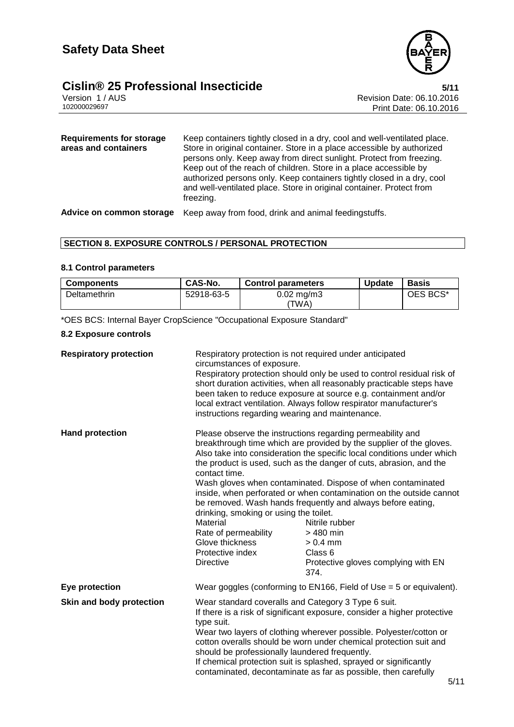# **Cislin® 25 Professional Insecticide**<br>Version 1/AUS<br>102000029697<br>Print Date: 06.10.2016



Revision Date: 06.10.2016 Print Date: 06.10.2016

| Requirements for storage<br>areas and containers | Keep containers tightly closed in a dry, cool and well-ventilated place.<br>Store in original container. Store in a place accessible by authorized<br>persons only. Keep away from direct sunlight. Protect from freezing.<br>Keep out of the reach of children. Store in a place accessible by<br>authorized persons only. Keep containers tightly closed in a dry, cool<br>and well-ventilated place. Store in original container. Protect from<br>freezing. |
|--------------------------------------------------|----------------------------------------------------------------------------------------------------------------------------------------------------------------------------------------------------------------------------------------------------------------------------------------------------------------------------------------------------------------------------------------------------------------------------------------------------------------|
| Advice on common storage                         | Keep away from food, drink and animal feedingstuffs.                                                                                                                                                                                                                                                                                                                                                                                                           |

# **SECTION 8. EXPOSURE CONTROLS / PERSONAL PROTECTION**

## **8.1 Control parameters**

| <b>Components</b> | CAS-No.    | <b>Control parameters</b> | <b>Update</b> | <b>Basis</b> |
|-------------------|------------|---------------------------|---------------|--------------|
| Deltamethrin      | 52918-63-5 | $0.02 \; mg/m3$<br>'TWA)  |               | OES BCS*     |

\*OES BCS: Internal Bayer CropScience "Occupational Exposure Standard"

# **8.2 Exposure controls**

| <b>Respiratory protection</b> | Respiratory protection is not required under anticipated<br>circumstances of exposure.<br>Respiratory protection should only be used to control residual risk of<br>short duration activities, when all reasonably practicable steps have<br>been taken to reduce exposure at source e.g. containment and/or<br>local extract ventilation. Always follow respirator manufacturer's<br>instructions regarding wearing and maintenance.                                                    |                                                                                                                                                                                                                                                                                                                                                                                                                                                                                                                                                                                                           |  |
|-------------------------------|------------------------------------------------------------------------------------------------------------------------------------------------------------------------------------------------------------------------------------------------------------------------------------------------------------------------------------------------------------------------------------------------------------------------------------------------------------------------------------------|-----------------------------------------------------------------------------------------------------------------------------------------------------------------------------------------------------------------------------------------------------------------------------------------------------------------------------------------------------------------------------------------------------------------------------------------------------------------------------------------------------------------------------------------------------------------------------------------------------------|--|
| <b>Hand protection</b>        | contact time.<br>drinking, smoking or using the toilet.<br>Material<br>Rate of permeability<br>Glove thickness<br>Protective index<br><b>Directive</b>                                                                                                                                                                                                                                                                                                                                   | Please observe the instructions regarding permeability and<br>breakthrough time which are provided by the supplier of the gloves.<br>Also take into consideration the specific local conditions under which<br>the product is used, such as the danger of cuts, abrasion, and the<br>Wash gloves when contaminated. Dispose of when contaminated<br>inside, when perforated or when contamination on the outside cannot<br>be removed. Wash hands frequently and always before eating,<br>Nitrile rubber<br>$>480$ min<br>$> 0.4$ mm<br>Class <sub>6</sub><br>Protective gloves complying with EN<br>374. |  |
| Eye protection                | Wear goggles (conforming to EN166, Field of Use $=$ 5 or equivalent).                                                                                                                                                                                                                                                                                                                                                                                                                    |                                                                                                                                                                                                                                                                                                                                                                                                                                                                                                                                                                                                           |  |
| Skin and body protection      | Wear standard coveralls and Category 3 Type 6 suit.<br>If there is a risk of significant exposure, consider a higher protective<br>type suit.<br>Wear two layers of clothing wherever possible. Polyester/cotton or<br>cotton overalls should be worn under chemical protection suit and<br>should be professionally laundered frequently.<br>If chemical protection suit is splashed, sprayed or significantly<br>contaminated, decontaminate as far as possible, then carefully<br>5/1 |                                                                                                                                                                                                                                                                                                                                                                                                                                                                                                                                                                                                           |  |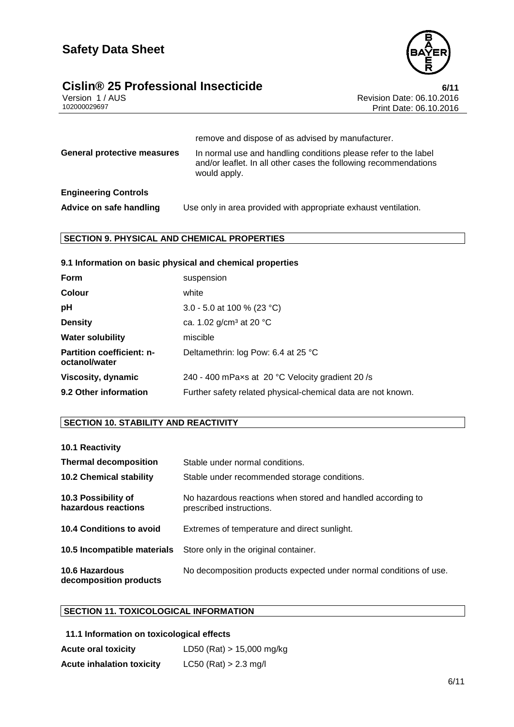

# **Cislin® 25 Professional Insecticide**<br>**Cislin® 25 Professional Insecticide 6/11** Pevision Date: 06.10.2016

Version 1 / AUS الكاتر المستخدم المستخدم المستخدم المستخدم المستخدم المستخدم المستخدم المستخدم المستخدم المستخ<br>Print Date: 06.10.2016 Print Date: 06.10.2016

|                                    | remove and dispose of as advised by manufacturer.                                                                                                   |
|------------------------------------|-----------------------------------------------------------------------------------------------------------------------------------------------------|
| <b>General protective measures</b> | In normal use and handling conditions please refer to the label<br>and/or leaflet. In all other cases the following recommendations<br>would apply. |
| <b>Engineering Controls</b>        |                                                                                                                                                     |
| Advice on safe handling            | Use only in area provided with appropriate exhaust ventilation.                                                                                     |

# **SECTION 9. PHYSICAL AND CHEMICAL PROPERTIES**

| 9.1 Information on basic physical and chemical properties |                                                              |
|-----------------------------------------------------------|--------------------------------------------------------------|
| <b>Form</b>                                               | suspension                                                   |
| <b>Colour</b>                                             | white                                                        |
| pH                                                        | 3.0 - 5.0 at 100 % (23 °C)                                   |
| <b>Density</b>                                            | ca. 1.02 $g/cm^3$ at 20 °C                                   |
| <b>Water solubility</b>                                   | miscible                                                     |
| <b>Partition coefficient: n-</b><br>octanol/water         | Deltamethrin: log Pow: 6.4 at 25 °C                          |
| Viscosity, dynamic                                        | 240 - 400 mPaxs at 20 °C Velocity gradient 20/s              |
| 9.2 Other information                                     | Further safety related physical-chemical data are not known. |

# **SECTION 10. STABILITY AND REACTIVITY**

| 10.1 Reactivity                                 |                                                                                         |
|-------------------------------------------------|-----------------------------------------------------------------------------------------|
| <b>Thermal decomposition</b>                    | Stable under normal conditions.                                                         |
| <b>10.2 Chemical stability</b>                  | Stable under recommended storage conditions.                                            |
| 10.3 Possibility of<br>hazardous reactions      | No hazardous reactions when stored and handled according to<br>prescribed instructions. |
| <b>10.4 Conditions to avoid</b>                 | Extremes of temperature and direct sunlight.                                            |
| 10.5 Incompatible materials                     | Store only in the original container.                                                   |
| <b>10.6 Hazardous</b><br>decomposition products | No decomposition products expected under normal conditions of use.                      |

# **SECTION 11. TOXICOLOGICAL INFORMATION**

# **11.1 Information on toxicological effects**

| <b>Acute oral toxicity</b>       | LD50 (Rat) $> 15,000$ mg/kg |
|----------------------------------|-----------------------------|
| <b>Acute inhalation toxicity</b> | $LC50$ (Rat) > 2.3 mg/l     |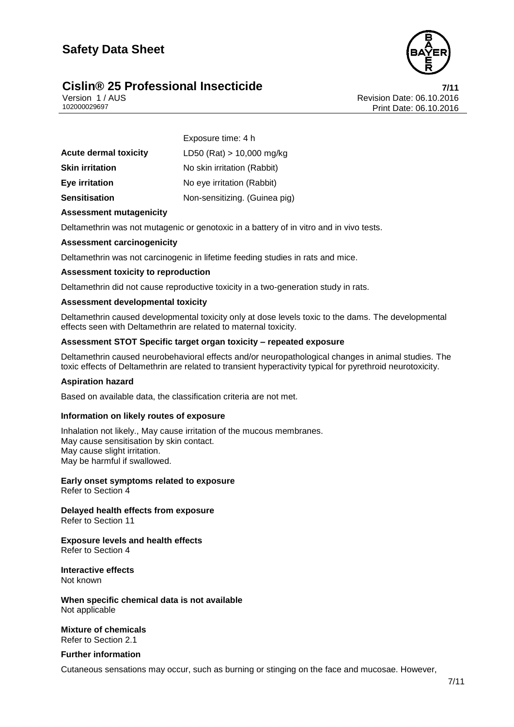# **Safety Data Sheet**

# **Cislin® 25 Professional Insecticide 7/11**



Version 1 / AUS<br>
102000029697<br>
Print Date: 06.10.2016 Print Date: 06.10.2016

|                              | Exposure time: 4 h            |
|------------------------------|-------------------------------|
| <b>Acute dermal toxicity</b> | LD50 (Rat) $> 10,000$ mg/kg   |
| <b>Skin irritation</b>       | No skin irritation (Rabbit)   |
| <b>Eye irritation</b>        | No eye irritation (Rabbit)    |
| <b>Sensitisation</b>         | Non-sensitizing. (Guinea pig) |

# **Assessment mutagenicity**

Deltamethrin was not mutagenic or genotoxic in a battery of in vitro and in vivo tests.

#### **Assessment carcinogenicity**

Deltamethrin was not carcinogenic in lifetime feeding studies in rats and mice.

#### **Assessment toxicity to reproduction**

Deltamethrin did not cause reproductive toxicity in a two-generation study in rats.

#### **Assessment developmental toxicity**

Deltamethrin caused developmental toxicity only at dose levels toxic to the dams. The developmental effects seen with Deltamethrin are related to maternal toxicity.

### **Assessment STOT Specific target organ toxicity – repeated exposure**

Deltamethrin caused neurobehavioral effects and/or neuropathological changes in animal studies. The toxic effects of Deltamethrin are related to transient hyperactivity typical for pyrethroid neurotoxicity.

## **Aspiration hazard**

Based on available data, the classification criteria are not met.

#### **Information on likely routes of exposure**

Inhalation not likely., May cause irritation of the mucous membranes. May cause sensitisation by skin contact. May cause slight irritation. May be harmful if swallowed.

**Early onset symptoms related to exposure** Refer to Section 4

**Delayed health effects from exposure** Refer to Section 11

**Exposure levels and health effects** Refer to Section 4

**Interactive effects** Not known

**When specific chemical data is not available** Not applicable

**Mixture of chemicals** Refer to Section 2.1

**Further information**

Cutaneous sensations may occur, such as burning or stinging on the face and mucosae. However,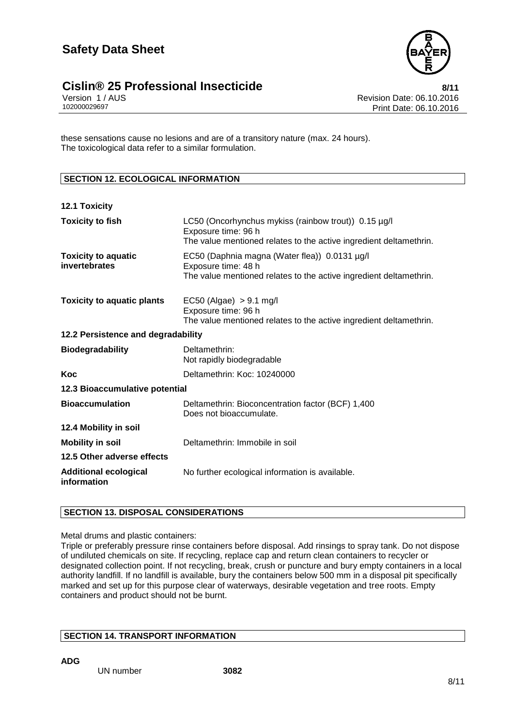

# **Cislin® 25 Professional Insecticide**<br>**8/11** Version 1/AUS **Revision Date: 06.10.2016**

these sensations cause no lesions and are of a transitory nature (max. 24 hours). The toxicological data refer to a similar formulation.

# **SECTION 12. ECOLOGICAL INFORMATION**

| <b>12.1 Toxicity</b>                        |                                                                                                                                                   |
|---------------------------------------------|---------------------------------------------------------------------------------------------------------------------------------------------------|
| <b>Toxicity to fish</b>                     | LC50 (Oncorhynchus mykiss (rainbow trout)) 0.15 µg/l<br>Exposure time: 96 h<br>The value mentioned relates to the active ingredient deltamethrin. |
| <b>Toxicity to aquatic</b><br>invertebrates | EC50 (Daphnia magna (Water flea)) 0.0131 µg/l<br>Exposure time: 48 h<br>The value mentioned relates to the active ingredient deltamethrin.        |
| <b>Toxicity to aquatic plants</b>           | $EC50$ (Algae) $> 9.1$ mg/l<br>Exposure time: 96 h<br>The value mentioned relates to the active ingredient deltamethrin.                          |
| 12.2 Persistence and degradability          |                                                                                                                                                   |
| <b>Biodegradability</b>                     | Deltamethrin:<br>Not rapidly biodegradable                                                                                                        |
| Koc                                         | Deltamethrin: Koc: 10240000                                                                                                                       |
| 12.3 Bioaccumulative potential              |                                                                                                                                                   |
| <b>Bioaccumulation</b>                      | Deltamethrin: Bioconcentration factor (BCF) 1,400<br>Does not bioaccumulate.                                                                      |
| 12.4 Mobility in soil                       |                                                                                                                                                   |
| <b>Mobility in soil</b>                     | Deltamethrin: Immobile in soil                                                                                                                    |
| 12.5 Other adverse effects                  |                                                                                                                                                   |
| <b>Additional ecological</b><br>information | No further ecological information is available.                                                                                                   |

# **SECTION 13. DISPOSAL CONSIDERATIONS**

Metal drums and plastic containers:

Triple or preferably pressure rinse containers before disposal. Add rinsings to spray tank. Do not dispose of undiluted chemicals on site. If recycling, replace cap and return clean containers to recycler or designated collection point. If not recycling, break, crush or puncture and bury empty containers in a local authority landfill. If no landfill is available, bury the containers below 500 mm in a disposal pit specifically marked and set up for this purpose clear of waterways, desirable vegetation and tree roots. Empty containers and product should not be burnt.

# **SECTION 14. TRANSPORT INFORMATION**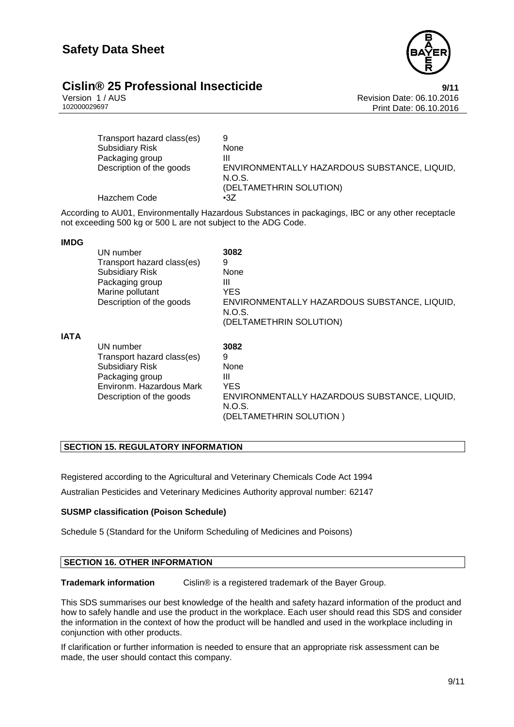

# **Cislin® 25 Professional Insecticide**<br>
Version 1/AUS<br>
Revision Date: 06.10.2016

Version 1 / AUS<br>102000029697<br>Print Date: 06.10.2016 Print Date: 06.10.2016

| Transport hazard class(es) | 9                                            |
|----------------------------|----------------------------------------------|
| <b>Subsidiary Risk</b>     | None                                         |
| Packaging group            |                                              |
| Description of the goods   | ENVIRONMENTALLY HAZARDOUS SUBSTANCE, LIQUID, |
|                            | N.O.S.                                       |
|                            | (DELTAMETHRIN SOLUTION)                      |
| Hazchem Code               | $\cdot 37$                                   |

According to AU01, Environmentally Hazardous Substances in packagings, IBC or any other receptacle not exceeding 500 kg or 500 L are not subject to the ADG Code.

### **IMDG**

|             | UN number                  | 3082                                                   |
|-------------|----------------------------|--------------------------------------------------------|
|             | Transport hazard class(es) | 9                                                      |
|             | <b>Subsidiary Risk</b>     | None                                                   |
|             | Packaging group            | Ш                                                      |
|             | Marine pollutant           | <b>YES</b>                                             |
|             | Description of the goods   | ENVIRONMENTALLY HAZARDOUS SUBSTANCE, LIQUID,<br>N.O.S. |
|             |                            | (DELTAMETHRIN SOLUTION)                                |
| <b>IATA</b> |                            |                                                        |
|             | UN number                  | 3082                                                   |
|             | Transport hazard class(es) | 9                                                      |
|             | <b>Subsidiary Risk</b>     | None                                                   |
|             | Packaging group            | Ш                                                      |
|             | Environm. Hazardous Mark   | <b>YES</b>                                             |
|             | Description of the goods   | ENVIRONMENTALLY HAZARDOUS SUBSTANCE, LIQUID,<br>N.O.S. |

(DELTAMETHRIN SOLUTION )

# **SECTION 15. REGULATORY INFORMATION**

Registered according to the Agricultural and Veterinary Chemicals Code Act 1994 Australian Pesticides and Veterinary Medicines Authority approval number: 62147

# **SUSMP classification (Poison Schedule)**

Schedule 5 (Standard for the Uniform Scheduling of Medicines and Poisons)

# **SECTION 16. OTHER INFORMATION**

**Trademark information** Cislin® is a registered trademark of the Bayer Group.

This SDS summarises our best knowledge of the health and safety hazard information of the product and how to safely handle and use the product in the workplace. Each user should read this SDS and consider the information in the context of how the product will be handled and used in the workplace including in conjunction with other products.

If clarification or further information is needed to ensure that an appropriate risk assessment can be made, the user should contact this company.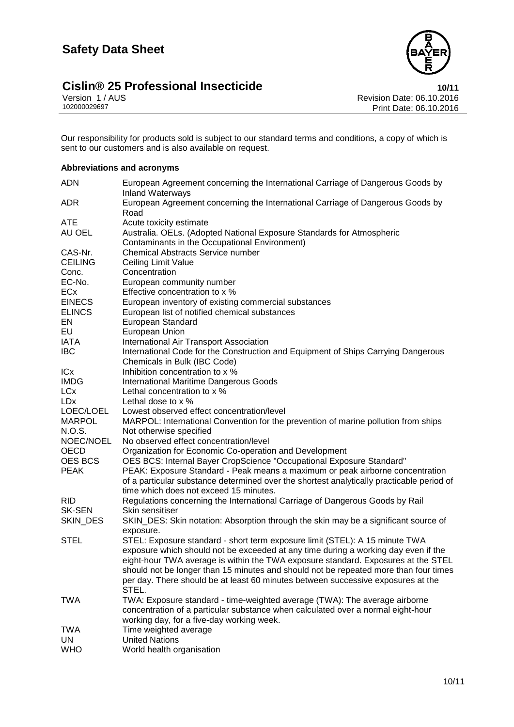

# 10/11 **Cislin® 25 Professional Insecticide**<br>10/11 Version 1/AUS<br>102000029697 **Print Date: 06.10.2016**

Revision Date: 06.10.2016 Print Date: 06.10.2016

Our responsibility for products sold is subject to our standard terms and conditions, a copy of which is sent to our customers and is also available on request.

# **Abbreviations and acronyms**

| <b>ADN</b>               | European Agreement concerning the International Carriage of Dangerous Goods by<br><b>Inland Waterways</b> |
|--------------------------|-----------------------------------------------------------------------------------------------------------|
| <b>ADR</b>               | European Agreement concerning the International Carriage of Dangerous Goods by<br>Road                    |
| <b>ATE</b>               | Acute toxicity estimate                                                                                   |
| AU OEL                   | Australia. OELs. (Adopted National Exposure Standards for Atmospheric                                     |
|                          | Contaminants in the Occupational Environment)                                                             |
| CAS-Nr.                  | <b>Chemical Abstracts Service number</b>                                                                  |
| <b>CEILING</b>           | Ceiling Limit Value                                                                                       |
| Conc.                    | Concentration                                                                                             |
| EC-No.                   | European community number                                                                                 |
| ECx                      | Effective concentration to x %                                                                            |
| <b>EINECS</b>            | European inventory of existing commercial substances                                                      |
| <b>ELINCS</b>            | European list of notified chemical substances                                                             |
| EN                       | European Standard                                                                                         |
| EU                       | European Union                                                                                            |
| <b>IATA</b>              | International Air Transport Association                                                                   |
| <b>IBC</b>               | International Code for the Construction and Equipment of Ships Carrying Dangerous                         |
|                          |                                                                                                           |
| ICx                      | Chemicals in Bulk (IBC Code)<br>Inhibition concentration to x %                                           |
| <b>IMDG</b>              |                                                                                                           |
|                          | <b>International Maritime Dangerous Goods</b>                                                             |
| <b>LCx</b><br><b>LDx</b> | Lethal concentration to x %<br>Lethal dose to x %                                                         |
|                          |                                                                                                           |
| LOEC/LOEL                | Lowest observed effect concentration/level                                                                |
| <b>MARPOL</b>            | MARPOL: International Convention for the prevention of marine pollution from ships                        |
| N.O.S.                   | Not otherwise specified                                                                                   |
| NOEC/NOEL                | No observed effect concentration/level                                                                    |
| OECD                     | Organization for Economic Co-operation and Development                                                    |
| OES BCS                  | OES BCS: Internal Bayer CropScience "Occupational Exposure Standard"                                      |
| <b>PEAK</b>              | PEAK: Exposure Standard - Peak means a maximum or peak airborne concentration                             |
|                          | of a particular substance determined over the shortest analytically practicable period of                 |
|                          | time which does not exceed 15 minutes.                                                                    |
| <b>RID</b>               | Regulations concerning the International Carriage of Dangerous Goods by Rail                              |
| <b>SK-SEN</b>            | Skin sensitiser                                                                                           |
| SKIN_DES                 | SKIN_DES: Skin notation: Absorption through the skin may be a significant source of                       |
|                          | exposure.                                                                                                 |
| <b>STEL</b>              | STEL: Exposure standard - short term exposure limit (STEL): A 15 minute TWA                               |
|                          | exposure which should not be exceeded at any time during a working day even if the                        |
|                          | eight-hour TWA average is within the TWA exposure standard. Exposures at the STEL                         |
|                          | should not be longer than 15 minutes and should not be repeated more than four times                      |
|                          | per day. There should be at least 60 minutes between successive exposures at the<br>STEL.                 |
| <b>TWA</b>               | TWA: Exposure standard - time-weighted average (TWA): The average airborne                                |
|                          | concentration of a particular substance when calculated over a normal eight-hour                          |
|                          | working day, for a five-day working week.                                                                 |
| TWA                      | Time weighted average                                                                                     |
| UN                       | <b>United Nations</b>                                                                                     |
| <b>WHO</b>               | World health organisation                                                                                 |